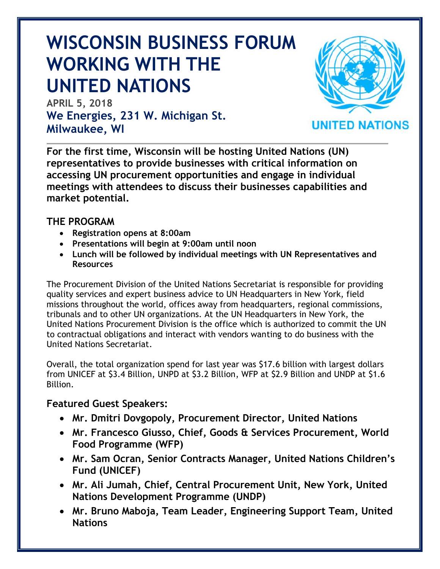# **WISCONSIN BUSINESS FORUM WORKING WITH THE UNITED NATIONS**

**APRIL 5, 2018 We Energies, 231 W. Michigan St. Milwaukee, WI**



**For the first time, Wisconsin will be hosting United Nations (UN) representatives to provide businesses with critical information on accessing UN procurement opportunities and engage in individual meetings with attendees to discuss their businesses capabilities and market potential.** 

# **THE PROGRAM**

- **Registration opens at 8:00am**
- **Presentations will begin at 9:00am until noon**
- **Lunch will be followed by individual meetings with UN Representatives and Resources**

The Procurement Division of the United Nations Secretariat is responsible for providing quality services and expert business advice to UN Headquarters in New York, field missions throughout the world, offices away from headquarters, regional commissions, tribunals and to other UN organizations. At the UN Headquarters in New York, the United Nations Procurement Division is the office which is authorized to commit the UN to contractual obligations and interact with vendors wanting to do business with the United Nations Secretariat.

Overall, the total organization spend for last year was \$17.6 billion with largest dollars from UNICEF at \$3.4 Billion, UNPD at \$3.2 Billion, WFP at \$2.9 Billion and UNDP at \$1.6 Billion.

## **Featured Guest Speakers:**

- **Mr. Dmitri Dovgopoly, Procurement Director, United Nations**
- **Mr. Francesco Giusso, Chief, Goods & Services Procurement, World Food Programme (WFP)**
- **Mr. Sam Ocran, Senior Contracts Manager, United Nations Children's Fund (UNICEF)**
- **Mr. Ali Jumah, Chief, Central Procurement Unit, New York, United Nations Development Programme (UNDP)**
- **Mr. Bruno Maboja, Team Leader, Engineering Support Team, United Nations**